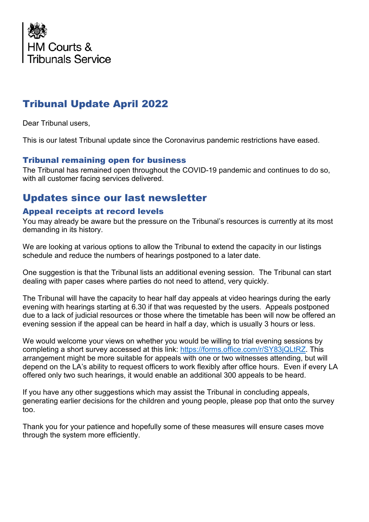

# Tribunal Update April 2022

Dear Tribunal users,

This is our latest Tribunal update since the Coronavirus pandemic restrictions have eased.

### Tribunal remaining open for business

The Tribunal has remained open throughout the COVID-19 pandemic and continues to do so, with all customer facing services delivered.

## Updates since our last newsletter

#### Appeal receipts at record levels

You may already be aware but the pressure on the Tribunal's resources is currently at its most demanding in its history.

We are looking at various options to allow the Tribunal to extend the capacity in our listings schedule and reduce the numbers of hearings postponed to a later date.

One suggestion is that the Tribunal lists an additional evening session. The Tribunal can start dealing with paper cases where parties do not need to attend, very quickly.

The Tribunal will have the capacity to hear half day appeals at video hearings during the early evening with hearings starting at 6.30 if that was requested by the users. Appeals postponed due to a lack of judicial resources or those where the timetable has been will now be offered an evening session if the appeal can be heard in half a day, which is usually 3 hours or less.

We would welcome your views on whether you would be willing to trial evening sessions by completing a short survey accessed at this link: [https://forms.office.com/r/SY83jQLtRZ.](https://forms.office.com/r/SY83jQLtRZ) This arrangement might be more suitable for appeals with one or two witnesses attending, but will depend on the LA's ability to request officers to work flexibly after office hours. Even if every LA offered only two such hearings, it would enable an additional 300 appeals to be heard.

If you have any other suggestions which may assist the Tribunal in concluding appeals, generating earlier decisions for the children and young people, please pop that onto the survey too.

Thank you for your patience and hopefully some of these measures will ensure cases move through the system more efficiently.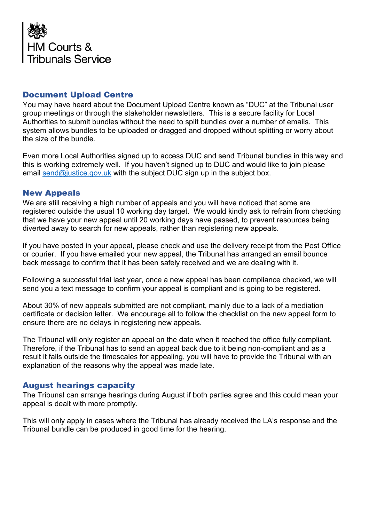

## Document Upload Centre

You may have heard about the Document Upload Centre known as "DUC" at the Tribunal user group meetings or through the stakeholder newsletters. This is a secure facility for Local Authorities to submit bundles without the need to split bundles over a number of emails. This system allows bundles to be uploaded or dragged and dropped without splitting or worry about the size of the bundle.

Even more Local Authorities signed up to access DUC and send Tribunal bundles in this way and this is working extremely well. If you haven't signed up to DUC and would like to join please email [send@justice.gov.uk](mailto:send@justice.gov.uk) with the subject DUC sign up in the subject box.

## New Appeals

We are still receiving a high number of appeals and you will have noticed that some are registered outside the usual 10 working day target. We would kindly ask to refrain from checking that we have your new appeal until 20 working days have passed, to prevent resources being diverted away to search for new appeals, rather than registering new appeals.

If you have posted in your appeal, please check and use the delivery receipt from the Post Office or courier. If you have emailed your new appeal, the Tribunal has arranged an email bounce back message to confirm that it has been safely received and we are dealing with it.

Following a successful trial last year, once a new appeal has been compliance checked, we will send you a text message to confirm your appeal is compliant and is going to be registered.

About 30% of new appeals submitted are not compliant, mainly due to a lack of a mediation certificate or decision letter. We encourage all to follow the checklist on the new appeal form to ensure there are no delays in registering new appeals.

The Tribunal will only register an appeal on the date when it reached the office fully compliant. Therefore, if the Tribunal has to send an appeal back due to it being non-compliant and as a result it falls outside the timescales for appealing, you will have to provide the Tribunal with an explanation of the reasons why the appeal was made late.

#### August hearings capacity

The Tribunal can arrange hearings during August if both parties agree and this could mean your appeal is dealt with more promptly.

This will only apply in cases where the Tribunal has already received the LA's response and the Tribunal bundle can be produced in good time for the hearing.